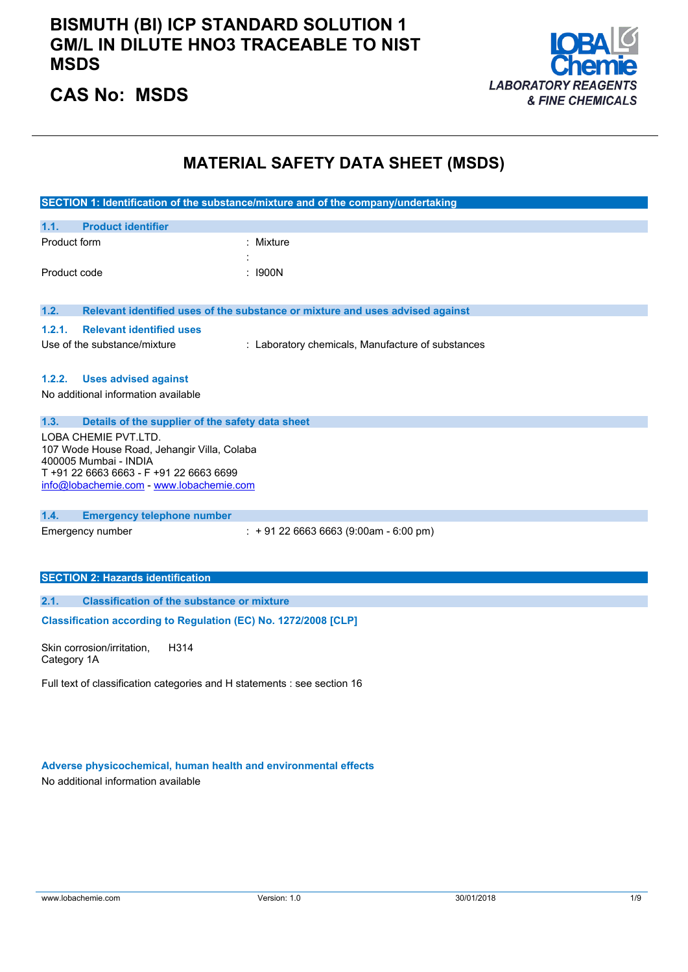### **BISMUTH (BI) ICP STANDARD SOLUTION 1 GM/L IN DILUTE HNO3 TRACEABLE TO NIST MSDS**



# **CAS No: MSDS**

### **MATERIAL SAFETY DATA SHEET (MSDS)**

|                                                                                                                                                                                   | SECTION 1: Identification of the substance/mixture and of the company/undertaking |  |
|-----------------------------------------------------------------------------------------------------------------------------------------------------------------------------------|-----------------------------------------------------------------------------------|--|
| <b>Product identifier</b><br>1.1.                                                                                                                                                 |                                                                                   |  |
| Product form                                                                                                                                                                      | Mixture                                                                           |  |
|                                                                                                                                                                                   |                                                                                   |  |
| Product code                                                                                                                                                                      | : 1900N                                                                           |  |
| 1.2.                                                                                                                                                                              | Relevant identified uses of the substance or mixture and uses advised against     |  |
| <b>Relevant identified uses</b><br>1.2.1.                                                                                                                                         |                                                                                   |  |
| Use of the substance/mixture                                                                                                                                                      | : Laboratory chemicals, Manufacture of substances                                 |  |
| <b>Uses advised against</b><br>1.2.2.                                                                                                                                             |                                                                                   |  |
| No additional information available                                                                                                                                               |                                                                                   |  |
|                                                                                                                                                                                   |                                                                                   |  |
| 1.3.<br>Details of the supplier of the safety data sheet                                                                                                                          |                                                                                   |  |
| LOBA CHEMIE PVT.LTD.<br>107 Wode House Road, Jehangir Villa, Colaba<br>400005 Mumbai - INDIA<br>T+91 22 6663 6663 - F+91 22 6663 6699<br>info@lobachemie.com - www.lobachemie.com |                                                                                   |  |
|                                                                                                                                                                                   |                                                                                   |  |
| 1.4.<br><b>Emergency telephone number</b><br>Emergency number                                                                                                                     | $: +912266636663(9:00am - 6:00 pm)$                                               |  |
|                                                                                                                                                                                   |                                                                                   |  |
| <b>SECTION 2: Hazards identification</b>                                                                                                                                          |                                                                                   |  |
|                                                                                                                                                                                   |                                                                                   |  |
| 2.1.<br><b>Classification of the substance or mixture</b>                                                                                                                         |                                                                                   |  |
| Classification according to Regulation (EC) No. 1272/2008 [CLP]                                                                                                                   |                                                                                   |  |
| Skin corrosion/irritation.<br>H314                                                                                                                                                |                                                                                   |  |

Skin corrosion/irritation, Category 1A

Full text of classification categories and H statements : see section 16

**Adverse physicochemical, human health and environmental effects**

No additional information available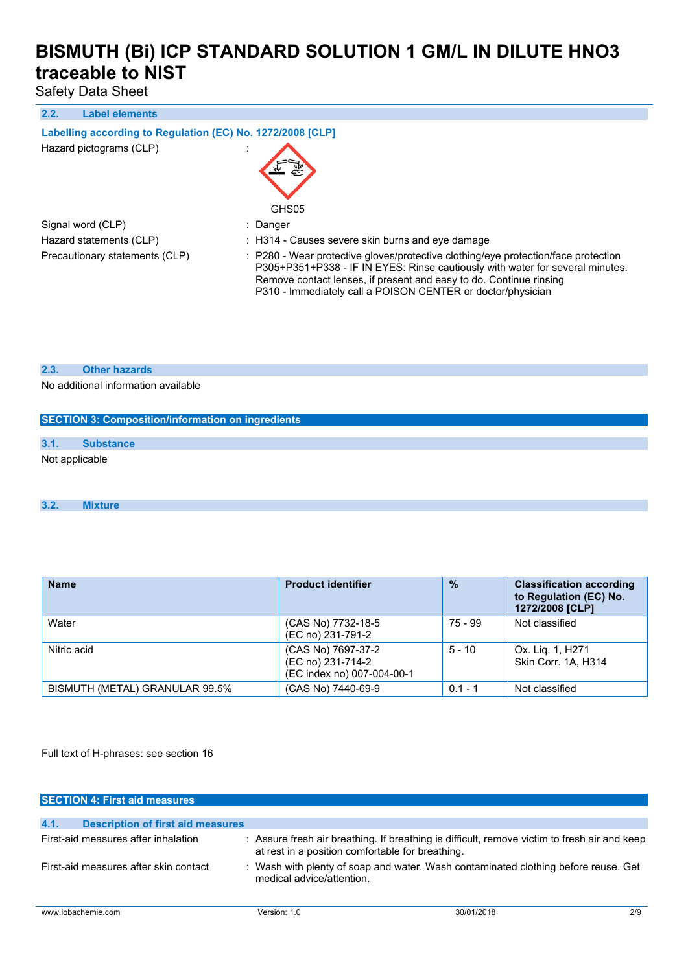Safety Data Sheet

#### **2.2. Label elements**

### **Labelling according** to Regulation (EC) No. 1272/2008 [CLP]

Hazard pictograms (CLP) :



Signal word (CLP) : Danger

Hazard statements (CLP) : H314 - Causes severe skin burns and eye damage

Precautionary statements (CLP) : P280 - Wear protective gloves/protective clothing/eye protection/face protection P305+P351+P338 - IF IN EYES: Rinse cautiously with water for several minutes. Remove contact lenses, if present and easy to do. Continue rinsing P310 - Immediately call a POISON CENTER or doctor/physician

#### **2.3. Other hazards**

No additional information available

| <b>SECTION 3: Composition/information on ingredients</b> |                  |  |
|----------------------------------------------------------|------------------|--|
|                                                          |                  |  |
| 3.1.                                                     | <b>Substance</b> |  |
| Not applicable                                           |                  |  |
|                                                          |                  |  |
|                                                          |                  |  |

#### **3.2. Mixture**

| <b>Name</b>                    | <b>Product identifier</b>                                             | $\frac{9}{6}$ | <b>Classification according</b><br>to Regulation (EC) No.<br>1272/2008 [CLP] |
|--------------------------------|-----------------------------------------------------------------------|---------------|------------------------------------------------------------------------------|
| Water                          | (CAS No) 7732-18-5<br>(EC no) 231-791-2                               | $75 - 99$     | Not classified                                                               |
| Nitric acid                    | (CAS No) 7697-37-2<br>(EC no) 231-714-2<br>(EC index no) 007-004-00-1 | $5 - 10$      | Ox. Lig. 1, H271<br>Skin Corr. 1A. H314                                      |
| BISMUTH (METAL) GRANULAR 99.5% | (CAS No) 7440-69-9                                                    | $0.1 - 1$     | Not classified                                                               |

Full text of H-phrases: see section 16

| <b>SECTION 4: First aid measures</b>             |                                                                                                                 |                                                                                              |     |
|--------------------------------------------------|-----------------------------------------------------------------------------------------------------------------|----------------------------------------------------------------------------------------------|-----|
|                                                  |                                                                                                                 |                                                                                              |     |
| 4.1.<br><b>Description of first aid measures</b> |                                                                                                                 |                                                                                              |     |
| First-aid measures after inhalation              | at rest in a position comfortable for breathing.                                                                | : Assure fresh air breathing. If breathing is difficult, remove victim to fresh air and keep |     |
| First-aid measures after skin contact            | : Wash with plenty of soap and water. Wash contaminated clothing before reuse. Get<br>medical advice/attention. |                                                                                              |     |
| www.lobachemie.com                               | Version: 1.0                                                                                                    | 30/01/2018                                                                                   | 2/9 |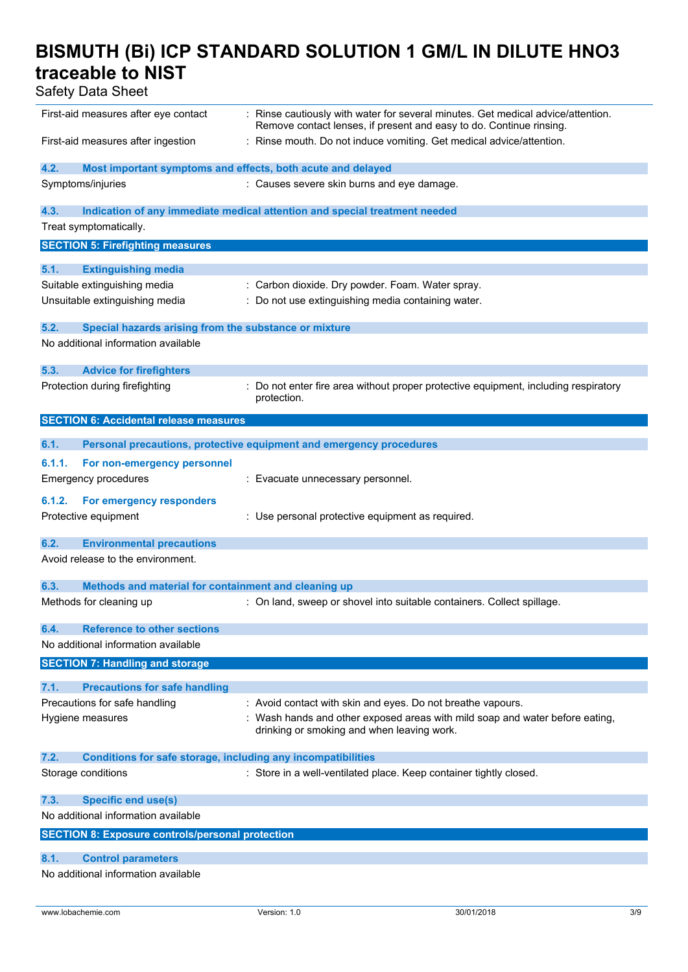| ouioty bata onoot                                                           |                                                                                                                                                         |
|-----------------------------------------------------------------------------|---------------------------------------------------------------------------------------------------------------------------------------------------------|
| First-aid measures after eye contact                                        | : Rinse cautiously with water for several minutes. Get medical advice/attention.<br>Remove contact lenses, if present and easy to do. Continue rinsing. |
| First-aid measures after ingestion                                          | : Rinse mouth. Do not induce vomiting. Get medical advice/attention.                                                                                    |
| 4.2.<br>Most important symptoms and effects, both acute and delayed         |                                                                                                                                                         |
| Symptoms/injuries                                                           | : Causes severe skin burns and eye damage.                                                                                                              |
| 4.3.                                                                        | Indication of any immediate medical attention and special treatment needed                                                                              |
| Treat symptomatically.                                                      |                                                                                                                                                         |
| <b>SECTION 5: Firefighting measures</b>                                     |                                                                                                                                                         |
|                                                                             |                                                                                                                                                         |
| 5.1.<br><b>Extinguishing media</b>                                          |                                                                                                                                                         |
| Suitable extinguishing media                                                | : Carbon dioxide. Dry powder. Foam. Water spray.                                                                                                        |
| Unsuitable extinguishing media                                              | : Do not use extinguishing media containing water.                                                                                                      |
| Special hazards arising from the substance or mixture<br>5.2.               |                                                                                                                                                         |
| No additional information available                                         |                                                                                                                                                         |
| 5.3.<br><b>Advice for firefighters</b>                                      |                                                                                                                                                         |
| Protection during firefighting                                              | : Do not enter fire area without proper protective equipment, including respiratory                                                                     |
|                                                                             | protection.                                                                                                                                             |
| <b>SECTION 6: Accidental release measures</b>                               |                                                                                                                                                         |
|                                                                             |                                                                                                                                                         |
| 6.1.                                                                        | Personal precautions, protective equipment and emergency procedures                                                                                     |
| 6.1.1.<br>For non-emergency personnel                                       |                                                                                                                                                         |
| <b>Emergency procedures</b>                                                 | : Evacuate unnecessary personnel.                                                                                                                       |
| 6.1.2.<br>For emergency responders                                          |                                                                                                                                                         |
| Protective equipment                                                        | : Use personal protective equipment as required.                                                                                                        |
|                                                                             |                                                                                                                                                         |
| 6.2.<br><b>Environmental precautions</b>                                    |                                                                                                                                                         |
| Avoid release to the environment.                                           |                                                                                                                                                         |
| 6.3.<br>Methods and material for containment and cleaning up                |                                                                                                                                                         |
| Methods for cleaning up                                                     | : On land, sweep or shovel into suitable containers. Collect spillage.                                                                                  |
|                                                                             |                                                                                                                                                         |
| <b>Reference to other sections</b><br>6.4.                                  |                                                                                                                                                         |
| No additional information available                                         |                                                                                                                                                         |
| <b>SECTION 7: Handling and storage</b>                                      |                                                                                                                                                         |
|                                                                             |                                                                                                                                                         |
| 7.1.<br><b>Precautions for safe handling</b>                                |                                                                                                                                                         |
| Precautions for safe handling                                               | : Avoid contact with skin and eyes. Do not breathe vapours.                                                                                             |
| Hygiene measures                                                            | : Wash hands and other exposed areas with mild soap and water before eating,<br>drinking or smoking and when leaving work.                              |
| 7.2.<br><b>Conditions for safe storage, including any incompatibilities</b> |                                                                                                                                                         |
| Storage conditions                                                          | : Store in a well-ventilated place. Keep container tightly closed.                                                                                      |
|                                                                             |                                                                                                                                                         |
| 7.3.<br><b>Specific end use(s)</b>                                          |                                                                                                                                                         |
| No additional information available                                         |                                                                                                                                                         |
| <b>SECTION 8: Exposure controls/personal protection</b>                     |                                                                                                                                                         |
| 8.1.<br><b>Control parameters</b>                                           |                                                                                                                                                         |
| No additional information available                                         |                                                                                                                                                         |
|                                                                             |                                                                                                                                                         |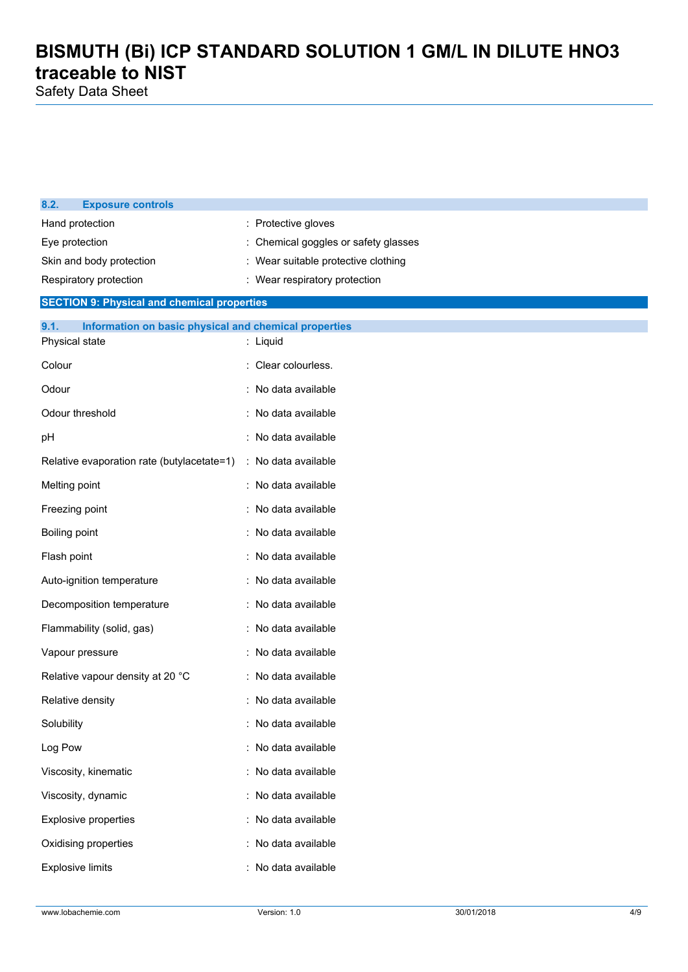| 8.2.<br><b>Exposure controls</b>                              |                                      |
|---------------------------------------------------------------|--------------------------------------|
| Hand protection                                               | : Protective gloves                  |
| Eye protection                                                | : Chemical goggles or safety glasses |
| Skin and body protection                                      | : Wear suitable protective clothing  |
| Respiratory protection                                        | : Wear respiratory protection        |
| <b>SECTION 9: Physical and chemical properties</b>            |                                      |
| 9.1.<br>Information on basic physical and chemical properties |                                      |
| Physical state                                                | : Liquid                             |
| Colour                                                        | : Clear colourless.                  |
| Odour                                                         | : No data available                  |
| Odour threshold                                               | : No data available                  |
| рH                                                            | : No data available                  |
| Relative evaporation rate (butylacetate=1)                    | : No data available                  |
| Melting point                                                 | : No data available                  |
| Freezing point                                                | : No data available                  |
| Boiling point                                                 | : No data available                  |
| Flash point                                                   | : No data available                  |
| Auto-ignition temperature                                     | : No data available                  |
| Decomposition temperature                                     | : No data available                  |
| Flammability (solid, gas)                                     | No data available                    |
| Vapour pressure                                               | No data available                    |
| Relative vapour density at 20 °C                              | : No data available                  |
| Relative density                                              | : No data available                  |
| Solubility                                                    | No data available                    |
| Log Pow                                                       | : No data available                  |
| Viscosity, kinematic                                          | : No data available                  |
| Viscosity, dynamic                                            | : No data available                  |
| <b>Explosive properties</b>                                   | : No data available                  |
| Oxidising properties                                          | No data available                    |
| <b>Explosive limits</b>                                       | No data available                    |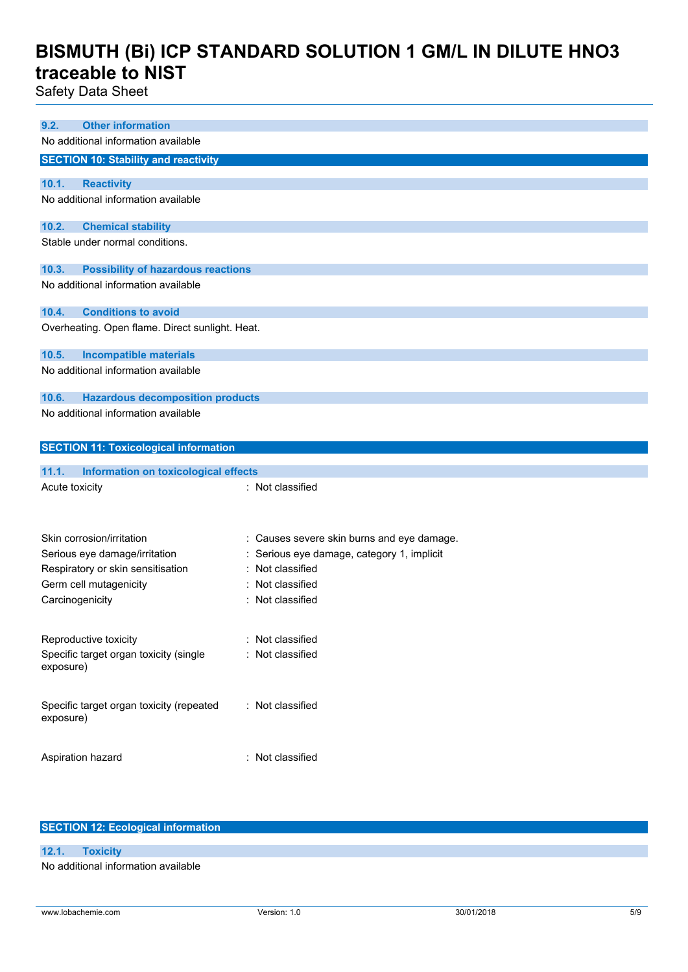Safety Data Sheet

| <b>Other information</b><br>9.2.                   |                                            |
|----------------------------------------------------|--------------------------------------------|
|                                                    |                                            |
| No additional information available                |                                            |
| <b>SECTION 10: Stability and reactivity</b>        |                                            |
| <b>Reactivity</b><br>10.1.                         |                                            |
| No additional information available                |                                            |
|                                                    |                                            |
| <b>Chemical stability</b><br>10.2.                 |                                            |
| Stable under normal conditions.                    |                                            |
|                                                    |                                            |
| 10.3.<br><b>Possibility of hazardous reactions</b> |                                            |
| No additional information available                |                                            |
|                                                    |                                            |
| 10.4.<br><b>Conditions to avoid</b>                |                                            |
| Overheating. Open flame. Direct sunlight. Heat.    |                                            |
|                                                    |                                            |
| 10.5.<br><b>Incompatible materials</b>             |                                            |
| No additional information available                |                                            |
|                                                    |                                            |
| 10.6.<br><b>Hazardous decomposition products</b>   |                                            |
| No additional information available                |                                            |
|                                                    |                                            |
| <b>SECTION 11: Toxicological information</b>       |                                            |
|                                                    |                                            |
| 11.1.<br>Information on toxicological effects      |                                            |
|                                                    |                                            |
| Acute toxicity                                     | : Not classified                           |
|                                                    |                                            |
|                                                    |                                            |
| Skin corrosion/irritation                          |                                            |
|                                                    | : Causes severe skin burns and eye damage. |
| Serious eye damage/irritation                      | Serious eye damage, category 1, implicit   |
| Respiratory or skin sensitisation                  | Not classified                             |
| Germ cell mutagenicity                             | Not classified                             |
| Carcinogenicity                                    | : Not classified                           |
|                                                    |                                            |
| Reproductive toxicity                              | : Not classified                           |
| Specific target organ toxicity (single             | : Not classified                           |
| exposure)                                          |                                            |
|                                                    |                                            |
|                                                    |                                            |
| Specific target organ toxicity (repeated           | : Not classified                           |
| exposure)                                          |                                            |
|                                                    |                                            |
| Aspiration hazard                                  | : Not classified                           |
|                                                    |                                            |

### **SECTION 12: Ecological information**

#### **12.1. Toxicity**

No additional information available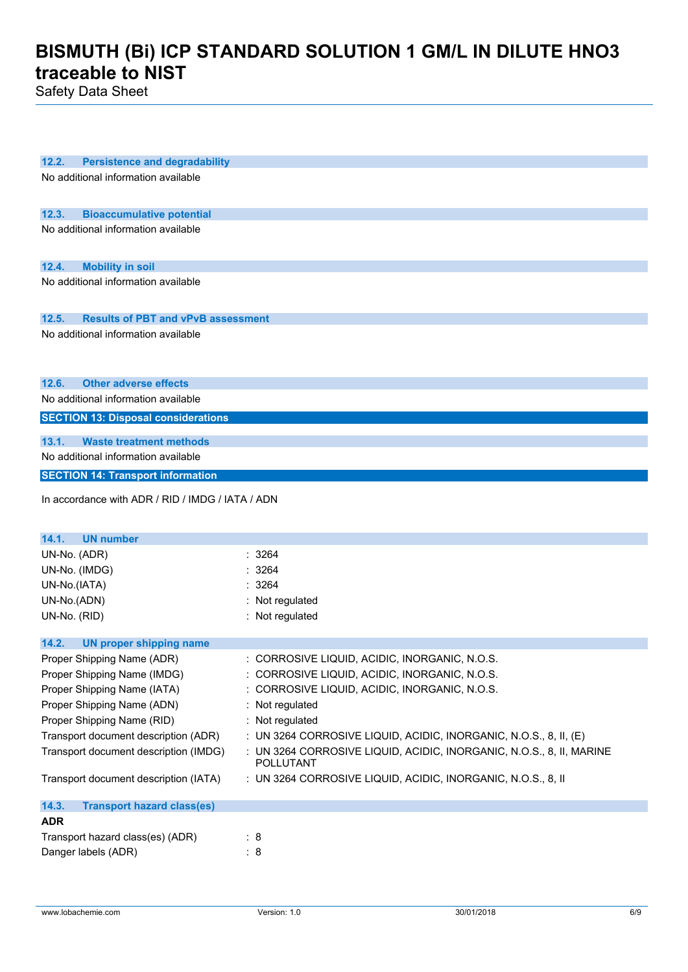| <b>Persistence and degradability</b><br>12.2.           |                                                                      |
|---------------------------------------------------------|----------------------------------------------------------------------|
| No additional information available                     |                                                                      |
|                                                         |                                                                      |
|                                                         |                                                                      |
| 12.3.<br><b>Bioaccumulative potential</b>               |                                                                      |
| No additional information available                     |                                                                      |
|                                                         |                                                                      |
| 12.4.<br><b>Mobility in soil</b>                        |                                                                      |
| No additional information available                     |                                                                      |
|                                                         |                                                                      |
|                                                         |                                                                      |
| 12.5.<br><b>Results of PBT and vPvB assessment</b>      |                                                                      |
| No additional information available                     |                                                                      |
|                                                         |                                                                      |
|                                                         |                                                                      |
| <b>Other adverse effects</b><br>12.6.                   |                                                                      |
| No additional information available                     |                                                                      |
| <b>SECTION 13: Disposal considerations</b>              |                                                                      |
|                                                         |                                                                      |
| 13.1.<br><b>Waste treatment methods</b>                 |                                                                      |
| No additional information available                     |                                                                      |
| <b>SECTION 14: Transport information</b>                |                                                                      |
| In accordance with ADR / RID / IMDG / IATA / ADN        |                                                                      |
|                                                         |                                                                      |
|                                                         |                                                                      |
|                                                         |                                                                      |
| 14.1.<br><b>UN number</b>                               |                                                                      |
| UN-No. (ADR)                                            | : 3264                                                               |
| UN-No. (IMDG)                                           | : 3264                                                               |
| UN-No.(IATA)                                            | 3264                                                                 |
| UN-No.(ADN)                                             | : Not regulated                                                      |
| UN-No. (RID)                                            | : Not regulated                                                      |
|                                                         |                                                                      |
| 14.2.<br><b>UN proper shipping name</b>                 |                                                                      |
| Proper Shipping Name (ADR)                              | : CORROSIVE LIQUID, ACIDIC, INORGANIC, N.O.S.                        |
| Proper Shipping Name (IMDG)                             | : CORROSIVE LIQUID, ACIDIC, INORGANIC, N.O.S.                        |
| Proper Shipping Name (IATA)                             | : CORROSIVE LIQUID, ACIDIC, INORGANIC, N.O.S.                        |
| Proper Shipping Name (ADN)                              | : Not regulated                                                      |
| Proper Shipping Name (RID)                              | : Not regulated                                                      |
| Transport document description (ADR)                    | : UN 3264 CORROSIVE LIQUID, ACIDIC, INORGANIC, N.O.S., 8, II, (E)    |
| Transport document description (IMDG)                   | : UN 3264 CORROSIVE LIQUID, ACIDIC, INORGANIC, N.O.S., 8, II, MARINE |
|                                                         | POLLUTANT                                                            |
| Transport document description (IATA)                   | : UN 3264 CORROSIVE LIQUID, ACIDIC, INORGANIC, N.O.S., 8, II         |
|                                                         |                                                                      |
| 14.3.<br><b>Transport hazard class(es)</b>              |                                                                      |
| <b>ADR</b>                                              |                                                                      |
| Transport hazard class(es) (ADR)<br>Danger labels (ADR) | : 8<br>: 8                                                           |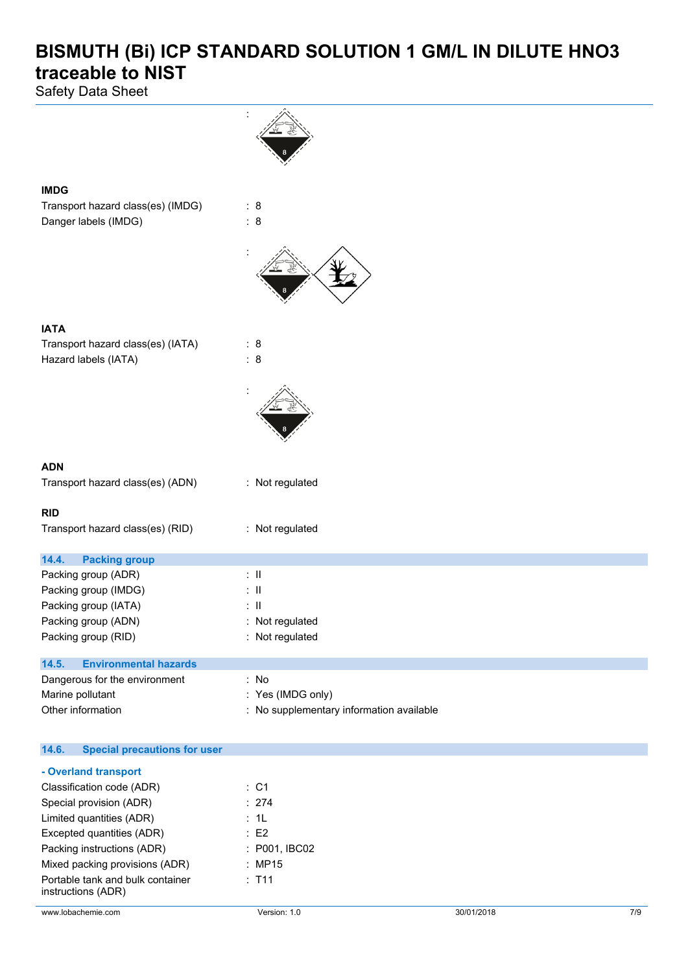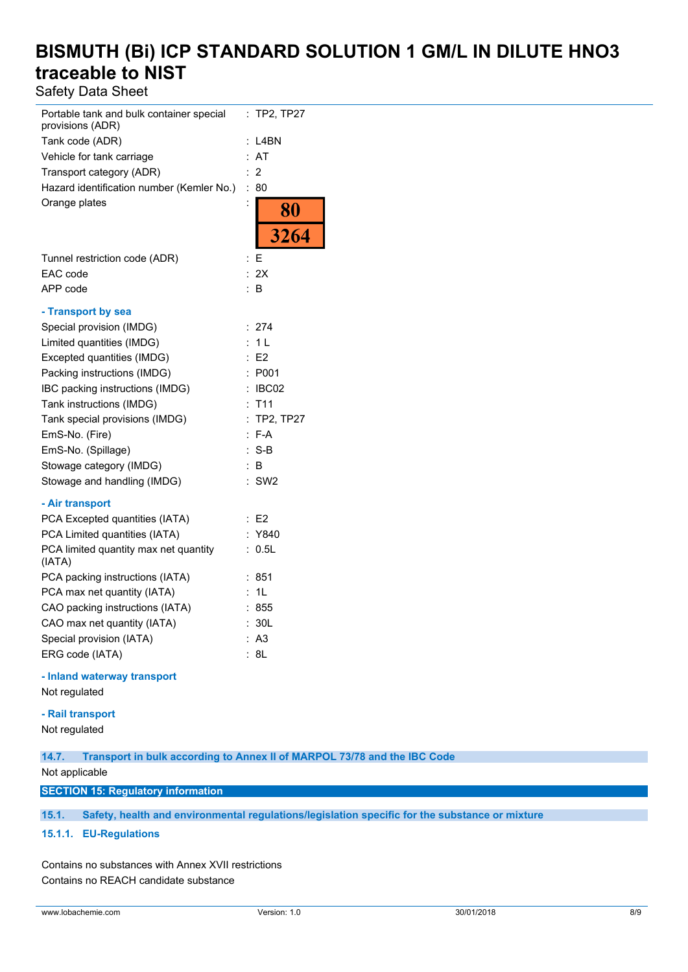Safety Data Sheet

| Portable tank and bulk container special<br>provisions (ADR) | <b>TP2, TP27</b><br>t.             |
|--------------------------------------------------------------|------------------------------------|
| Tank code (ADR)                                              | L4BN                               |
| Vehicle for tank carriage                                    | AT                                 |
| Transport category (ADR)                                     | 2                                  |
| Hazard identification number (Kemler No.)                    | $\ddot{\cdot}$<br>80               |
| Orange plates                                                | $\ddot{\phantom{0}}$               |
|                                                              |                                    |
|                                                              | $\frac{80}{3264}$                  |
| Tunnel restriction code (ADR)                                | E                                  |
| EAC code                                                     | 2X                                 |
| APP code                                                     | B                                  |
| - Transport by sea                                           |                                    |
| Special provision (IMDG)                                     | 274<br>÷.                          |
| Limited quantities (IMDG)                                    | 1 <sub>L</sub><br>÷                |
| Excepted quantities (IMDG)                                   | : E2                               |
| Packing instructions (IMDG)                                  | P001<br>÷                          |
| IBC packing instructions (IMDG)                              | IBC02<br>$\ddot{\cdot}$            |
| Tank instructions (IMDG)                                     | T <sub>11</sub>                    |
| Tank special provisions (IMDG)                               | <b>TP2, TP27</b><br>$\ddot{\cdot}$ |
| EmS-No. (Fire)                                               | $F-A$                              |
| EmS-No. (Spillage)                                           | : S-B                              |
| Stowage category (IMDG)                                      | : B                                |
| Stowage and handling (IMDG)                                  | SW <sub>2</sub>                    |
| - Air transport                                              |                                    |
| PCA Excepted quantities (IATA)                               | E2                                 |
| PCA Limited quantities (IATA)                                | Y840                               |
| PCA limited quantity max net quantity<br>(IATA)              | 0.5L                               |
| PCA packing instructions (IATA)                              | 851                                |
| PCA max net quantity (IATA)                                  | 1L<br>t.                           |
| CAO packing instructions (IATA)                              | 855                                |
| CAO max net quantity (IATA)                                  | 30L                                |
| Special provision (IATA)                                     | A <sub>3</sub>                     |
| ERG code (IATA)                                              | 8L                                 |

**- Inland waterway transport**

Not regulated

### **- Rail transport**

Not regulated

**14.7. Transport in bulk according to Annex II of MARPOL 73/78 and the IBC Code**

Not applicable

#### **SECTION 15: Regulatory information**

**15.1. Safety, health and environmental regulations/legislation specific for the substance or mixture**

#### **15.1.1. EU-Regulations**

Contains no substances with Annex XVII restrictions Contains no REACH candidate substance